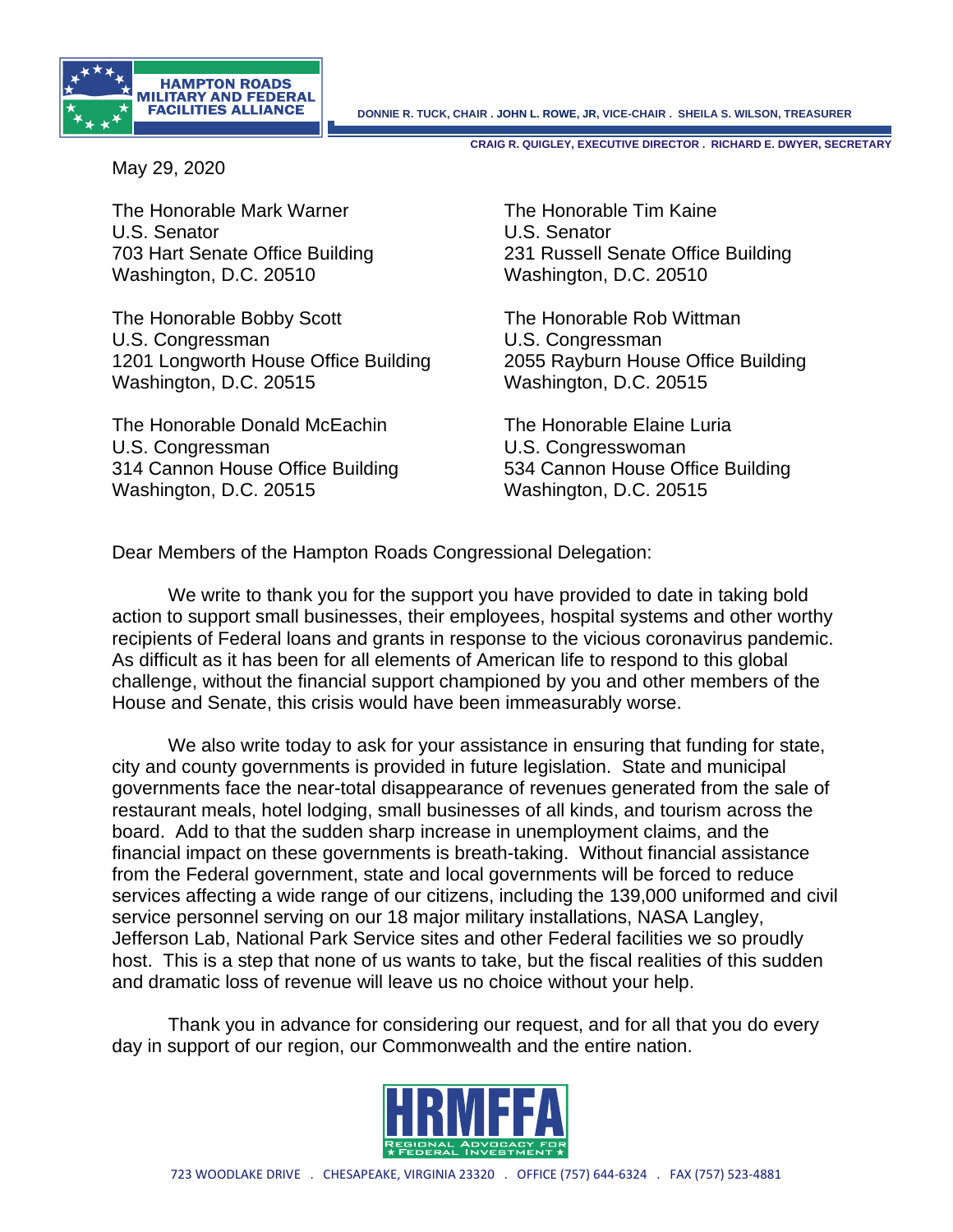

**CRAIG R. QUIGLEY, EXECUTIVE DIRECTOR . RICHARD E. DWYER, SECRETARY**

May 29, 2020

The Honorable Mark Warner The Honorable Tim Kaine U.S. Senator U.S. Senator Washington, D.C. 20510 Washington, D.C. 20510

The Honorable Bobby Scott The Honorable Rob Wittman U.S. Congressman U.S. Congressman 1201 Longworth House Office Building 2055 Rayburn House Office Building Washington, D.C. 20515 Washington, D.C. 20515

The Honorable Donald McEachin The Honorable Elaine Luria U.S. Congressman U.S. Congresswoman 314 Cannon House Office Building 534 Cannon House Office Building Washington, D.C. 20515 Washington, D.C. 20515

703 Hart Senate Office Building 231 Russell Senate Office Building

Dear Members of the Hampton Roads Congressional Delegation:

We write to thank you for the support you have provided to date in taking bold action to support small businesses, their employees, hospital systems and other worthy recipients of Federal loans and grants in response to the vicious coronavirus pandemic. As difficult as it has been for all elements of American life to respond to this global challenge, without the financial support championed by you and other members of the House and Senate, this crisis would have been immeasurably worse.

We also write today to ask for your assistance in ensuring that funding for state, city and county governments is provided in future legislation. State and municipal governments face the near-total disappearance of revenues generated from the sale of restaurant meals, hotel lodging, small businesses of all kinds, and tourism across the board. Add to that the sudden sharp increase in unemployment claims, and the financial impact on these governments is breath-taking. Without financial assistance from the Federal government, state and local governments will be forced to reduce services affecting a wide range of our citizens, including the 139,000 uniformed and civil service personnel serving on our 18 major military installations, NASA Langley, Jefferson Lab, National Park Service sites and other Federal facilities we so proudly host. This is a step that none of us wants to take, but the fiscal realities of this sudden and dramatic loss of revenue will leave us no choice without your help.

Thank you in advance for considering our request, and for all that you do every day in support of our region, our Commonwealth and the entire nation.

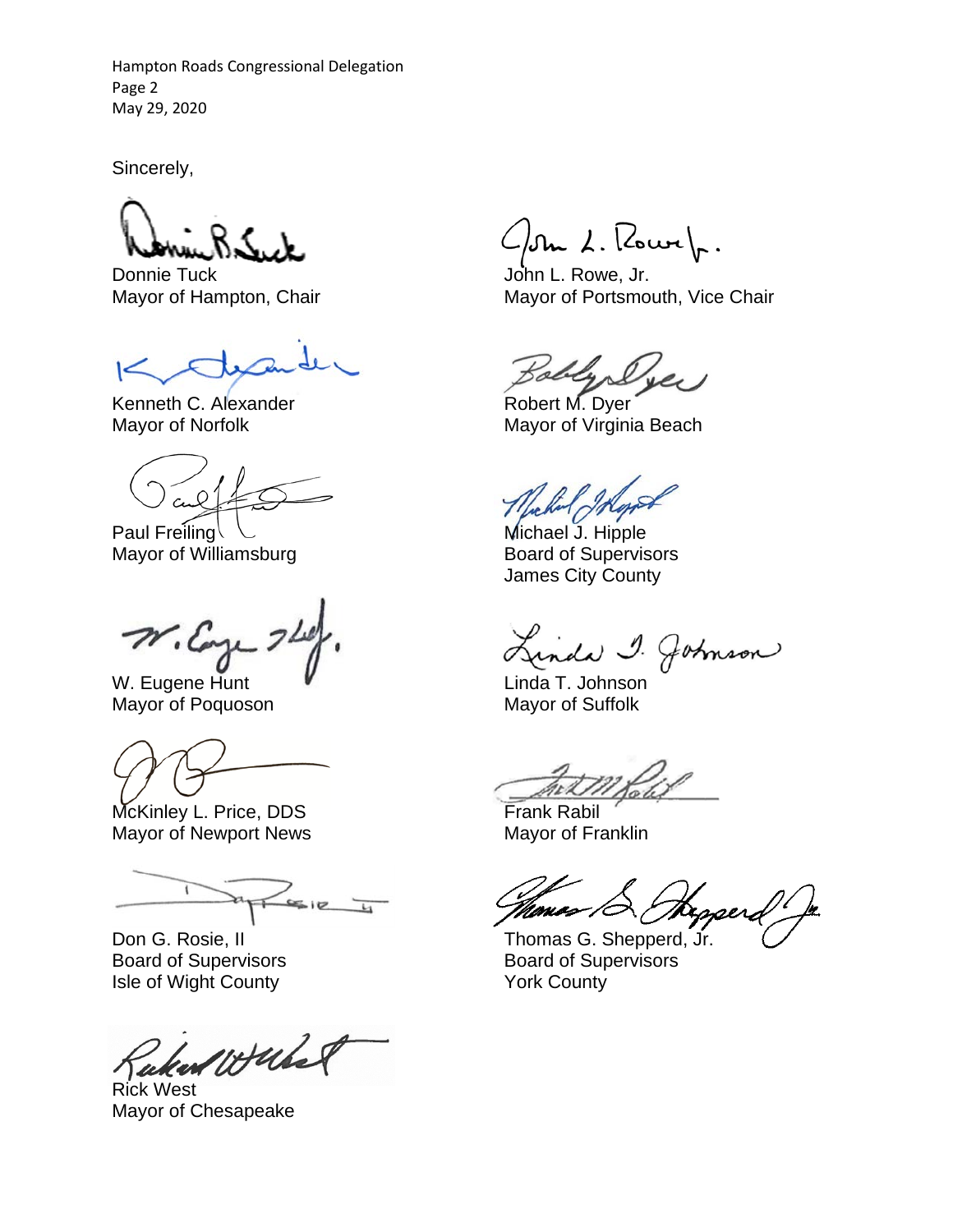Hampton Roads Congressional Delegation Page 2 May 29, 2020

Sincerely,

Donnie Tuck **John L. Rowe, Jr.** 

Kenneth C. Alexander **Robert M. Dyer** Robert M. Dyer

Paul Freiling  $\setminus$ Mayor of Williamsburg **Board of Supervisors** 

 $n_{\cdot\omega}$ 

W. Eugene Hunt  $\blacksquare$ Mayor of Poquoson Mayor of Suffolk

McKinley L. Price, DDS Frank Rabil Mayor of Newport News Mayor of Franklin

 $\frac{1}{\sqrt{1-\frac{1}{2}}\sqrt{1-\frac{1}{2}}\sqrt{1-\frac{1}{2}}\sqrt{1-\frac{1}{2}}}}$ 

Board of Supervisors Isle of Wight County **The County County Reserves** York County

would

Rick West Mayor of Chesapeake

 $\mathcal{L}/\mathfrak{Im} \lambda$ . Rowe $\mathcal{L}.$ 

Mayor of Hampton, Chair Mayor of Portsmouth, Vice Chair

Mayor of Norfolk Mayor of Virginia Beach

James City County

inda 1. Johnson

Monas /C

Don G. Rosie, II G. All States and Thomas G. Shepperd, Jr.<br>Board of Supervisors Controller and Board of Supervisors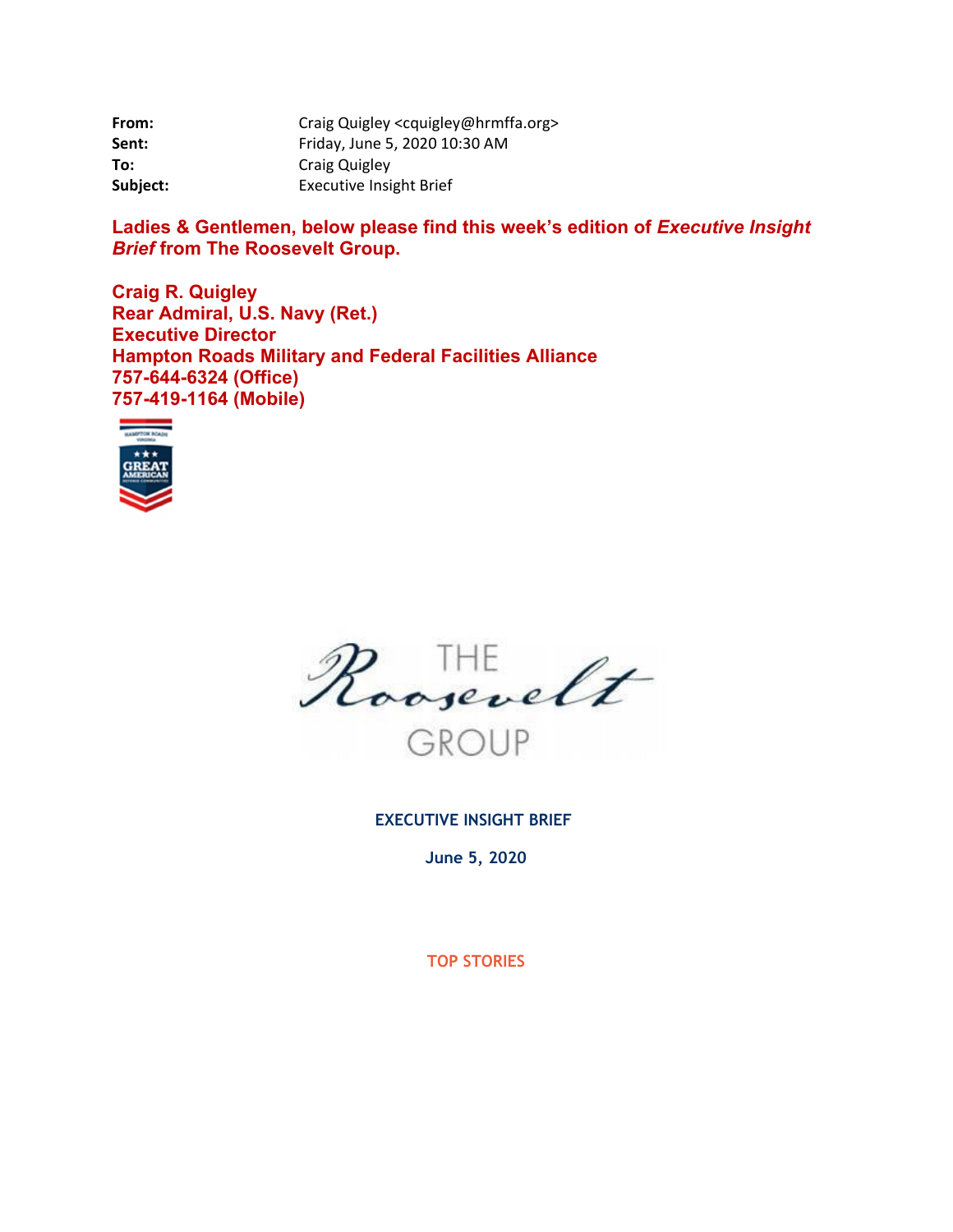| From:    | Craig Quigley <cquigley@hrmffa.org></cquigley@hrmffa.org> |
|----------|-----------------------------------------------------------|
| Sent:    | Friday, June 5, 2020 10:30 AM                             |
| To:      | Craig Quigley                                             |
| Subject: | <b>Executive Insight Brief</b>                            |

Ladies & Gentlemen, below please find this week's edition of *Executive Insight Brief* **from The Roosevelt Group.** 

**Craig R. Quigley Rear Admiral, U.S. Navy (Ret.) Executive Director Hampton Roads Military and Federal Facilities Alliance 757-644-6324 (Office) 757-419-1164 (Mobile)** 





**EXECUTIVE INSIGHT BRIEF** 

**June 5, 2020** 

**TOP STORIES**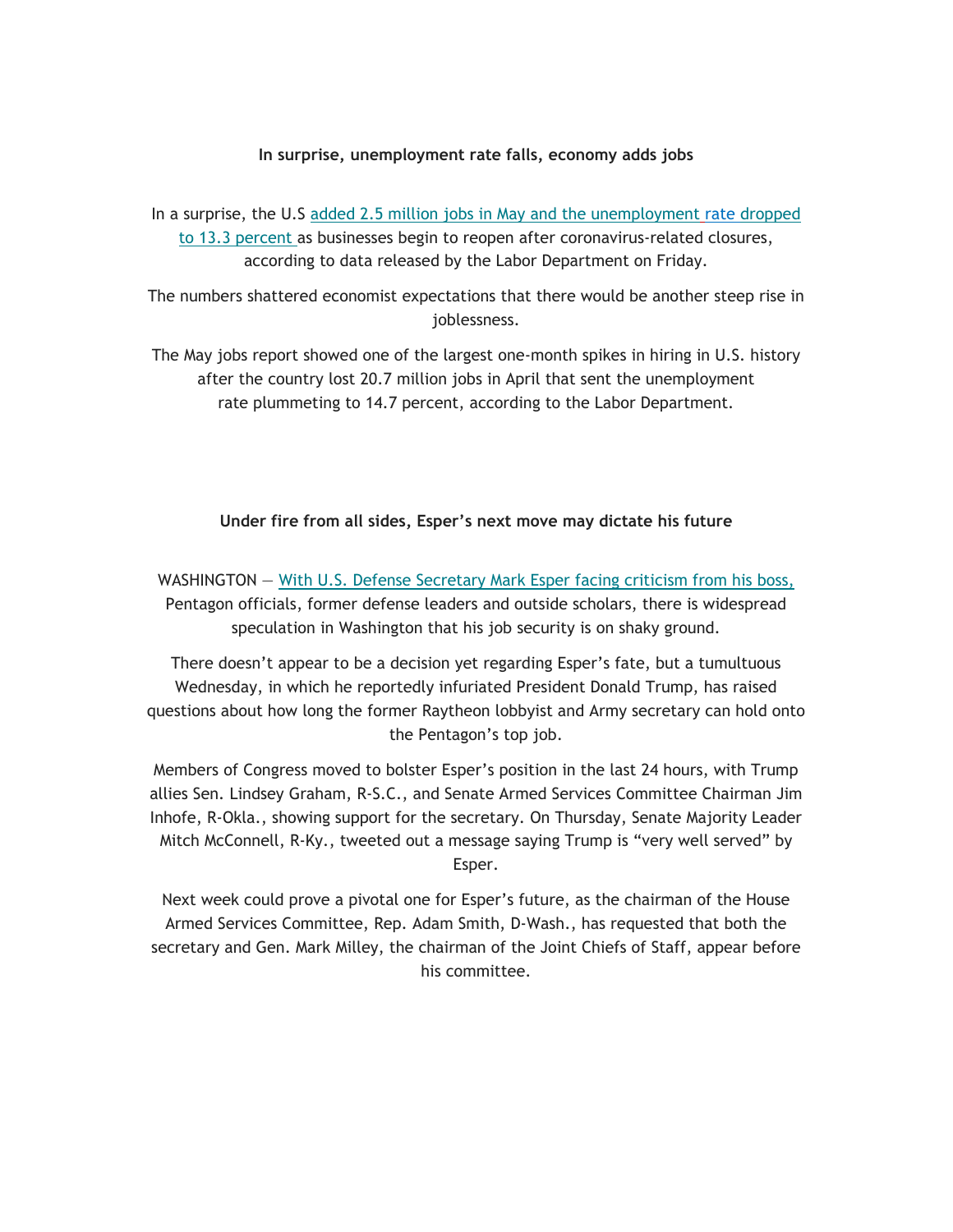### **In surprise, unemployment rate falls, economy adds jobs**

In a surprise, the U.S added 2.5 million jobs in May and the unemployment rate dropped to 13.3 percent as businesses begin to reopen after coronavirus-related closures, according to data released by the Labor Department on Friday.

The numbers shattered economist expectations that there would be another steep rise in joblessness.

The May jobs report showed one of the largest one-month spikes in hiring in U.S. history after the country lost 20.7 million jobs in April that sent the unemployment rate plummeting to 14.7 percent, according to the Labor Department.

## **Under fire from all sides, Esper's next move may dictate his future**

WASHINGTON – With U.S. Defense Secretary Mark Esper facing criticism from his boss, Pentagon officials, former defense leaders and outside scholars, there is widespread speculation in Washington that his job security is on shaky ground.

There doesn't appear to be a decision yet regarding Esper's fate, but a tumultuous Wednesday, in which he reportedly infuriated President Donald Trump, has raised questions about how long the former Raytheon lobbyist and Army secretary can hold onto the Pentagon's top job.

Members of Congress moved to bolster Esper's position in the last 24 hours, with Trump allies Sen. Lindsey Graham, R-S.C., and Senate Armed Services Committee Chairman Jim Inhofe, R-Okla., showing support for the secretary. On Thursday, Senate Majority Leader Mitch McConnell, R-Ky., tweeted out a message saying Trump is "very well served" by Esper.

Next week could prove a pivotal one for Esper's future, as the chairman of the House Armed Services Committee, Rep. Adam Smith, D-Wash., has requested that both the secretary and Gen. Mark Milley, the chairman of the Joint Chiefs of Staff, appear before his committee.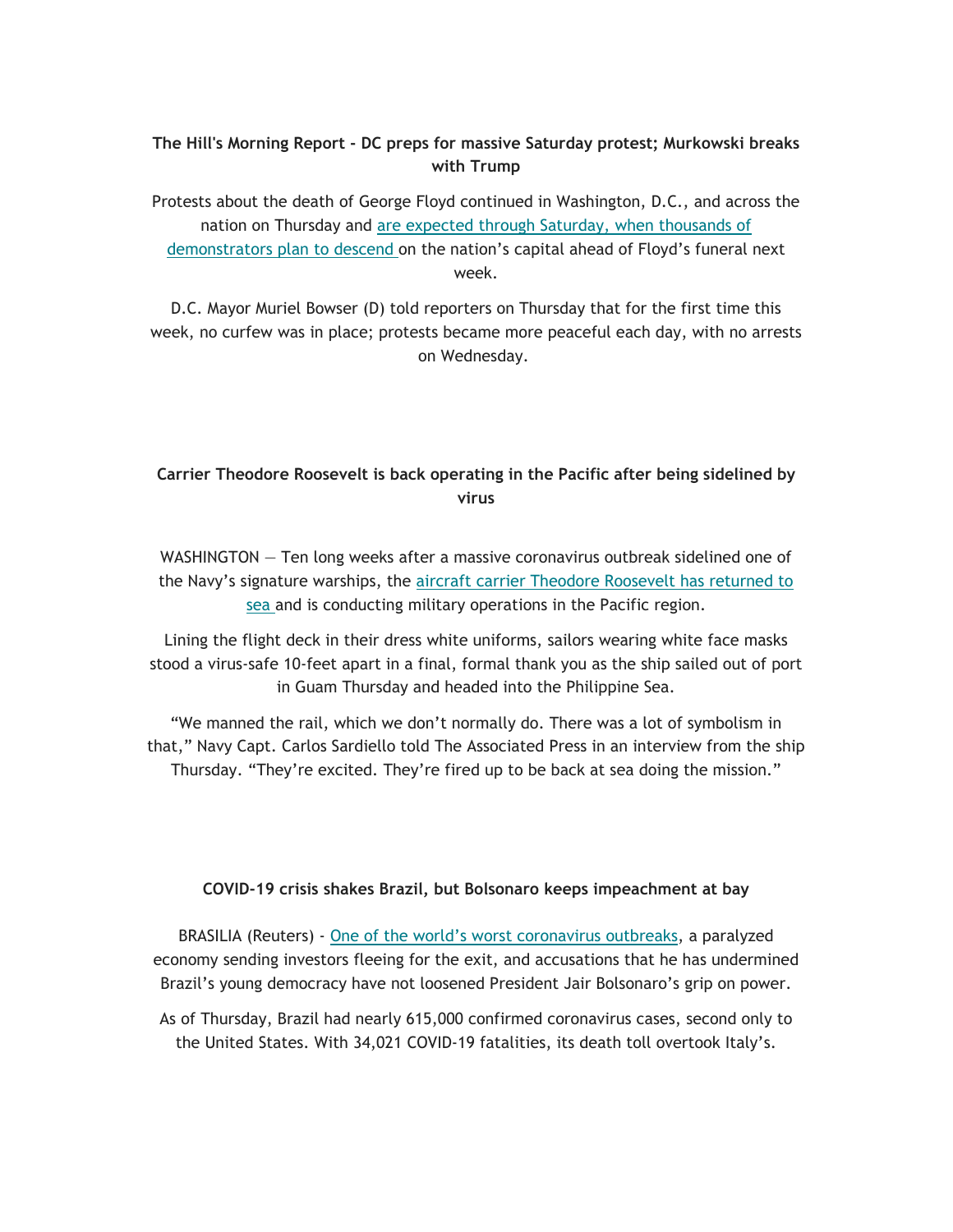# **The Hill's Morning Report - DC preps for massive Saturday protest; Murkowski breaks with Trump**

Protests about the death of George Floyd continued in Washington, D.C., and across the nation on Thursday and are expected through Saturday, when thousands of demonstrators plan to descend on the nation's capital ahead of Floyd's funeral next week.

D.C. Mayor Muriel Bowser (D) told reporters on Thursday that for the first time this week, no curfew was in place; protests became more peaceful each day, with no arrests on Wednesday.

# **Carrier Theodore Roosevelt is back operating in the Pacific after being sidelined by virus**

WASHINGTON — Ten long weeks after a massive coronavirus outbreak sidelined one of the Navy's signature warships, the aircraft carrier Theodore Roosevelt has returned to sea and is conducting military operations in the Pacific region.

Lining the flight deck in their dress white uniforms, sailors wearing white face masks stood a virus-safe 10-feet apart in a final, formal thank you as the ship sailed out of port in Guam Thursday and headed into the Philippine Sea.

"We manned the rail, which we don't normally do. There was a lot of symbolism in that," Navy Capt. Carlos Sardiello told The Associated Press in an interview from the ship Thursday. "They're excited. They're fired up to be back at sea doing the mission."

## **COVID-19 crisis shakes Brazil, but Bolsonaro keeps impeachment at bay**

BRASILIA (Reuters) - One of the world's worst coronavirus outbreaks, a paralyzed economy sending investors fleeing for the exit, and accusations that he has undermined Brazil's young democracy have not loosened President Jair Bolsonaro's grip on power.

As of Thursday, Brazil had nearly 615,000 confirmed coronavirus cases, second only to the United States. With 34,021 COVID-19 fatalities, its death toll overtook Italy's.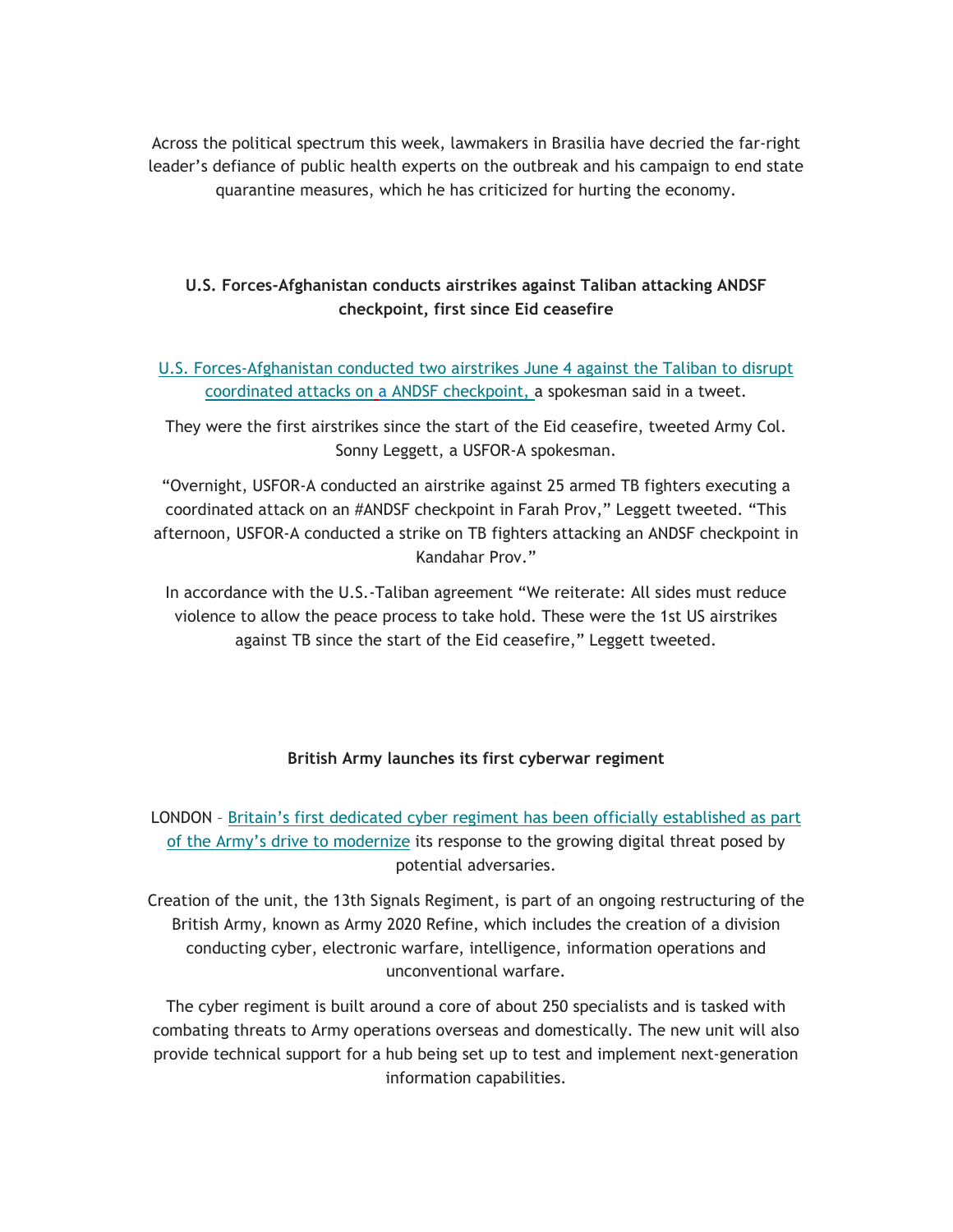Across the political spectrum this week, lawmakers in Brasilia have decried the far-right leader's defiance of public health experts on the outbreak and his campaign to end state quarantine measures, which he has criticized for hurting the economy.

# **U.S. Forces-Afghanistan conducts airstrikes against Taliban attacking ANDSF checkpoint, first since Eid ceasefire**

# U.S. Forces-Afghanistan conducted two airstrikes June 4 against the Taliban to disrupt coordinated attacks on a ANDSF checkpoint, a spokesman said in a tweet.

They were the first airstrikes since the start of the Eid ceasefire, tweeted Army Col. Sonny Leggett, a USFOR-A spokesman.

"Overnight, USFOR-A conducted an airstrike against 25 armed TB fighters executing a coordinated attack on an #ANDSF checkpoint in Farah Prov," Leggett tweeted. "This afternoon, USFOR-A conducted a strike on TB fighters attacking an ANDSF checkpoint in Kandahar Prov."

In accordance with the U.S.-Taliban agreement "We reiterate: All sides must reduce violence to allow the peace process to take hold. These were the 1st US airstrikes against TB since the start of the Eid ceasefire," Leggett tweeted.

## **British Army launches its first cyberwar regiment**

LONDON – Britain's first dedicated cyber regiment has been officially established as part of the Army's drive to modernize its response to the growing digital threat posed by potential adversaries.

Creation of the unit, the 13th Signals Regiment, is part of an ongoing restructuring of the British Army, known as Army 2020 Refine, which includes the creation of a division conducting cyber, electronic warfare, intelligence, information operations and unconventional warfare.

The cyber regiment is built around a core of about 250 specialists and is tasked with combating threats to Army operations overseas and domestically. The new unit will also provide technical support for a hub being set up to test and implement next-generation information capabilities.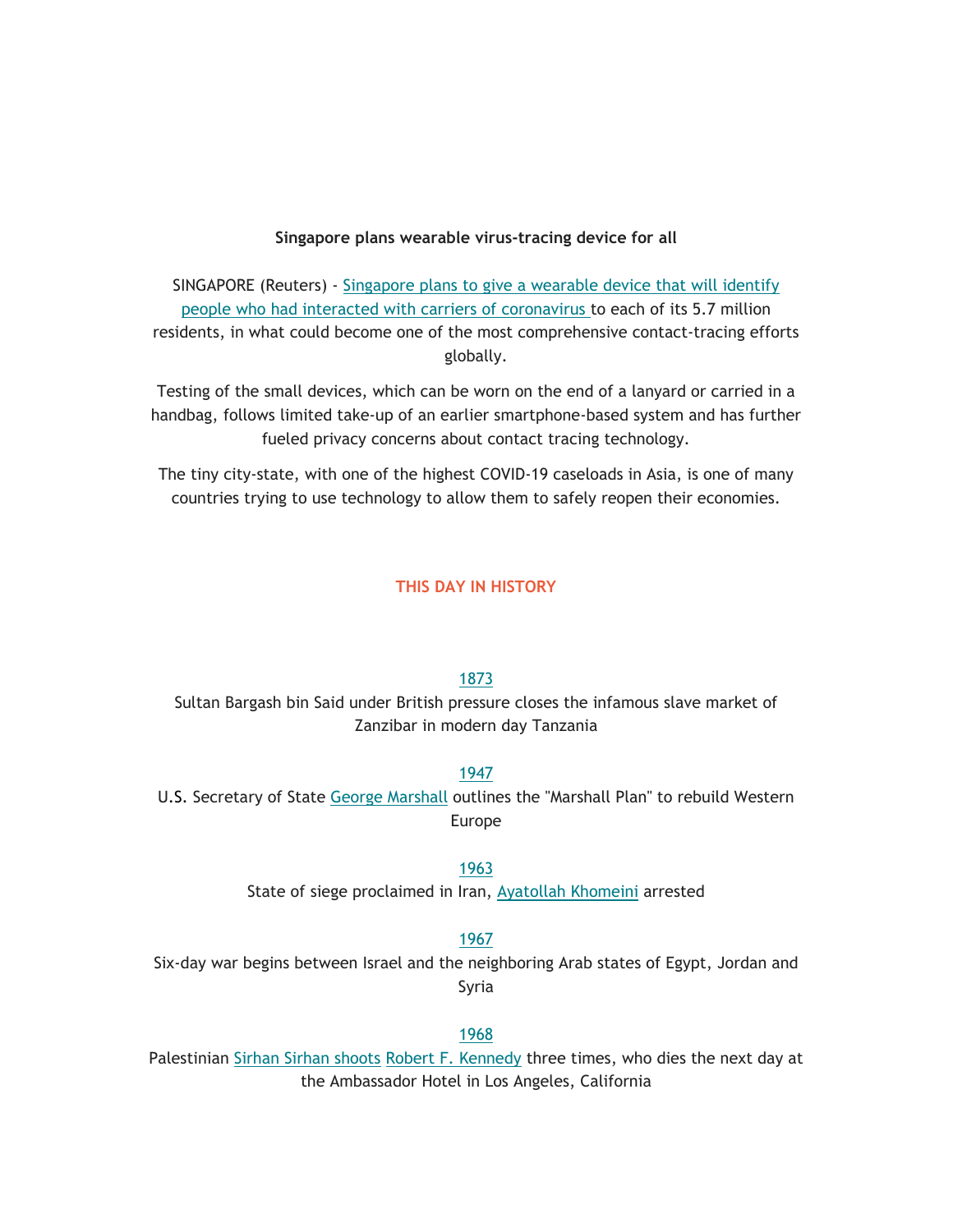#### **Singapore plans wearable virus-tracing device for all**

SINGAPORE (Reuters) - Singapore plans to give a wearable device that will identify people who had interacted with carriers of coronavirus to each of its 5.7 million residents, in what could become one of the most comprehensive contact-tracing efforts globally.

Testing of the small devices, which can be worn on the end of a lanyard or carried in a handbag, follows limited take-up of an earlier smartphone-based system and has further fueled privacy concerns about contact tracing technology.

The tiny city-state, with one of the highest COVID-19 caseloads in Asia, is one of many countries trying to use technology to allow them to safely reopen their economies.

## **THIS DAY IN HISTORY**

## 1873

Sultan Bargash bin Said under British pressure closes the infamous slave market of Zanzibar in modern day Tanzania

## 1947

U.S. Secretary of State George Marshall outlines the "Marshall Plan" to rebuild Western Europe

## 1963

State of siege proclaimed in Iran, Ayatollah Khomeini arrested

1967

Six-day war begins between Israel and the neighboring Arab states of Egypt, Jordan and Syria

#### 1968

Palestinian Sirhan Sirhan shoots Robert F. Kennedy three times, who dies the next day at the Ambassador Hotel in Los Angeles, California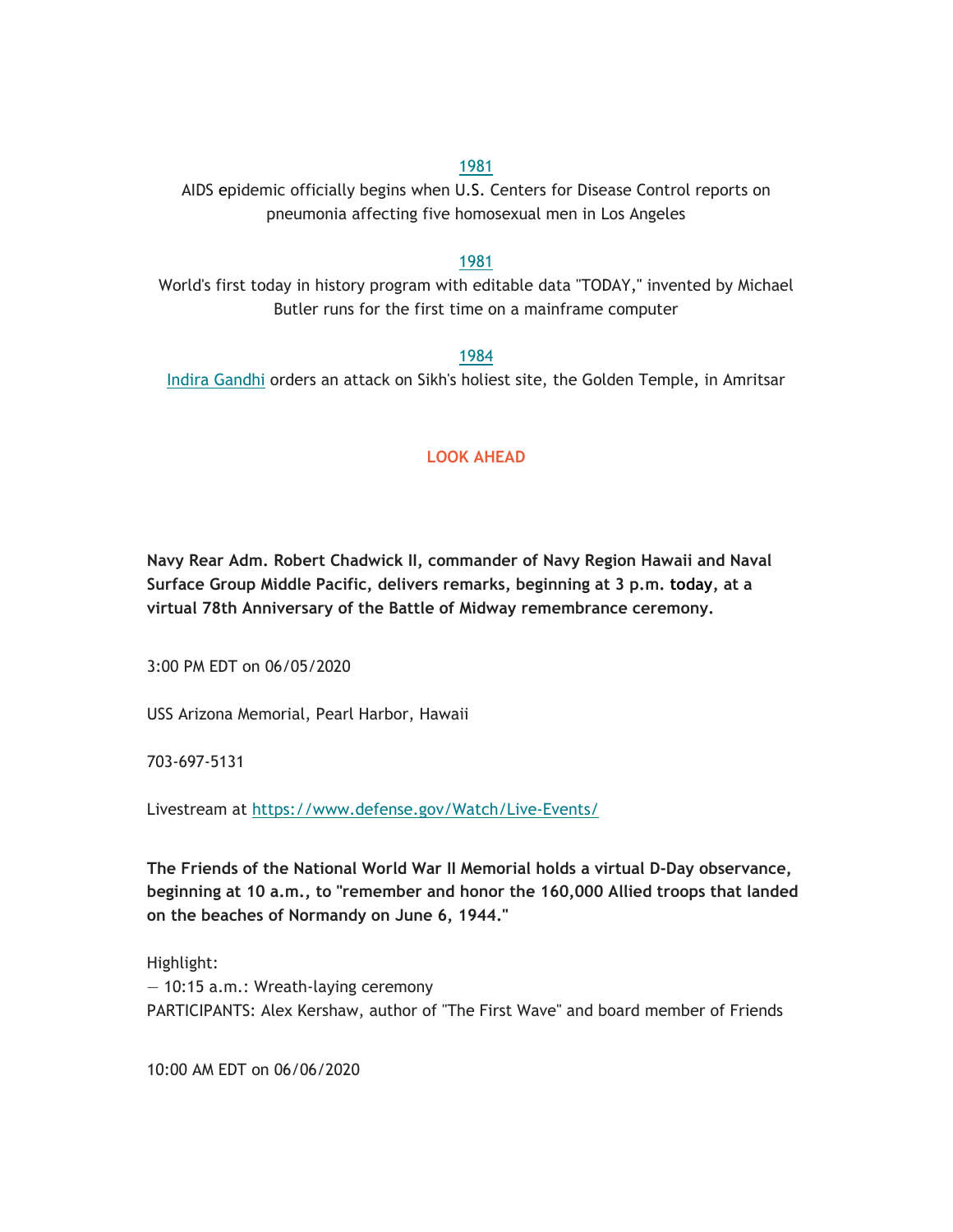#### 1981

AIDS epidemic officially begins when U.S. Centers for Disease Control reports on pneumonia affecting five homosexual men in Los Angeles

## 1981

World's first today in history program with editable data "TODAY," invented by Michael Butler runs for the first time on a mainframe computer

## 1984

Indira Gandhi orders an attack on Sikh's holiest site, the Golden Temple, in Amritsar

# **LOOK AHEAD**

**Navy Rear Adm. Robert Chadwick II, commander of Navy Region Hawaii and Naval Surface Group Middle Pacific, delivers remarks, beginning at 3 p.m. today, at a virtual 78th Anniversary of the Battle of Midway remembrance ceremony.**

3:00 PM EDT on 06/05/2020

USS Arizona Memorial, Pearl Harbor, Hawaii

703-697-5131

Livestream at https://www.defense.gov/Watch/Live-Events/

**The Friends of the National World War II Memorial holds a virtual D-Day observance, beginning at 10 a.m., to "remember and honor the 160,000 Allied troops that landed on the beaches of Normandy on June 6, 1944."**

Highlight: — 10:15 a.m.: Wreath-laying ceremony PARTICIPANTS: Alex Kershaw, author of "The First Wave" and board member of Friends

10:00 AM EDT on 06/06/2020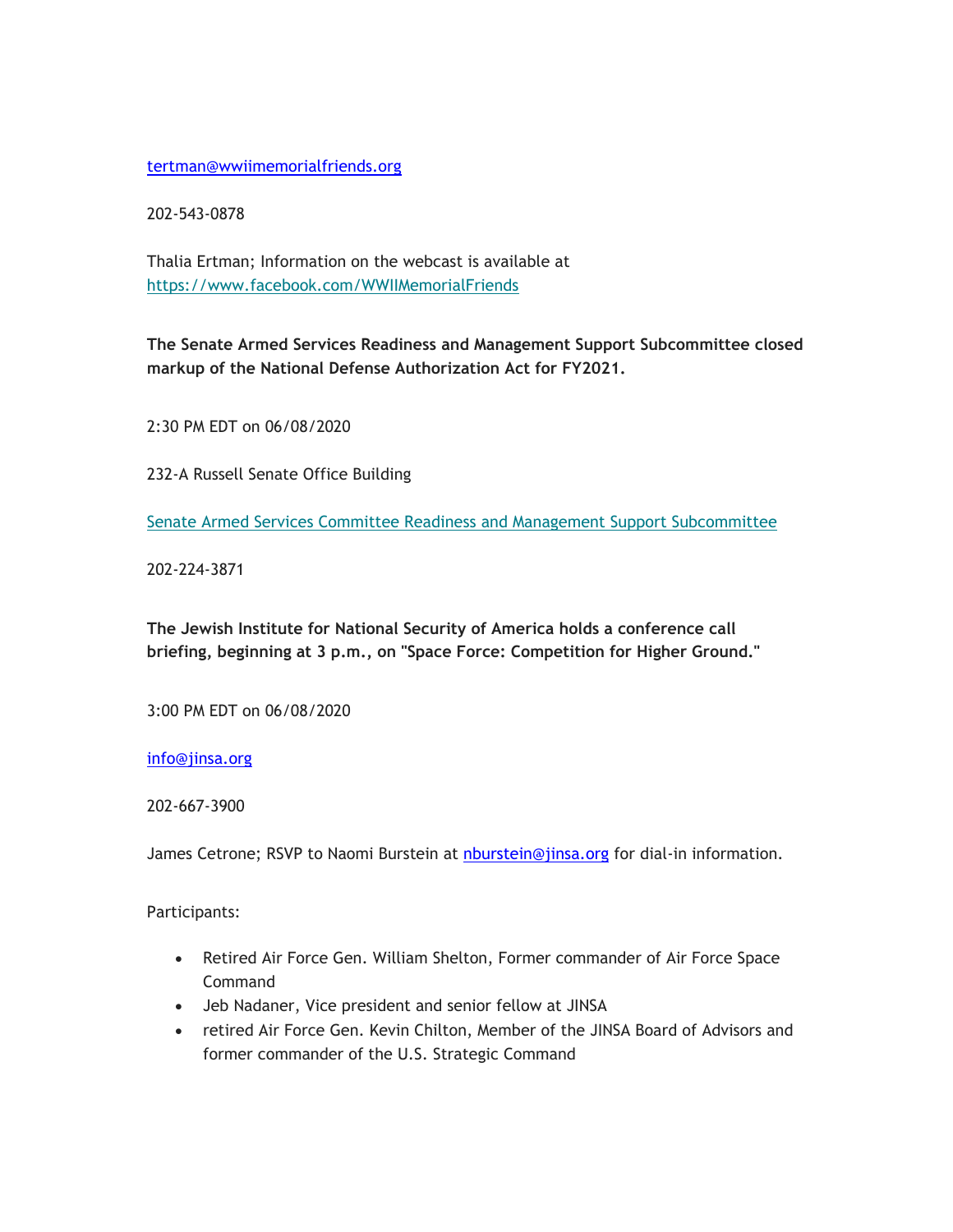## tertman@wwiimemorialfriends.org

202-543-0878

Thalia Ertman; Information on the webcast is available at https://www.facebook.com/WWIIMemorialFriends

**The Senate Armed Services Readiness and Management Support Subcommittee closed markup of the National Defense Authorization Act for FY2021.**

2:30 PM EDT on 06/08/2020

232-A Russell Senate Office Building

Senate Armed Services Committee Readiness and Management Support Subcommittee

202-224-3871

**The Jewish Institute for National Security of America holds a conference call briefing, beginning at 3 p.m., on "Space Force: Competition for Higher Ground."**

3:00 PM EDT on 06/08/2020

info@jinsa.org

202-667-3900

James Cetrone; RSVP to Naomi Burstein at nburstein@jinsa.org for dial-in information.

Participants:

- Retired Air Force Gen. William Shelton, Former commander of Air Force Space Command
- Jeb Nadaner, Vice president and senior fellow at JINSA
- retired Air Force Gen. Kevin Chilton, Member of the JINSA Board of Advisors and former commander of the U.S. Strategic Command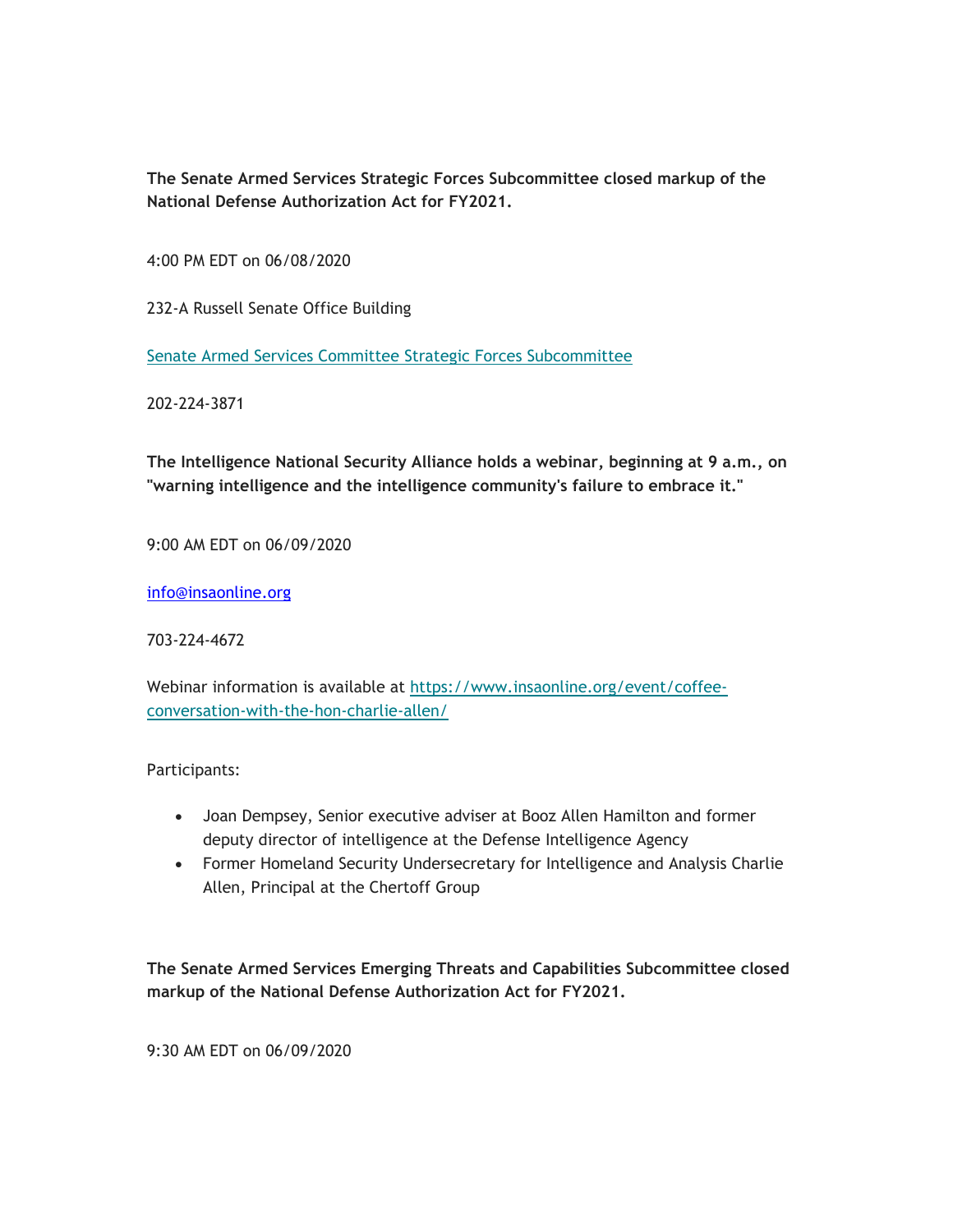**The Senate Armed Services Strategic Forces Subcommittee closed markup of the National Defense Authorization Act for FY2021.**

4:00 PM EDT on 06/08/2020

232-A Russell Senate Office Building

Senate Armed Services Committee Strategic Forces Subcommittee

202-224-3871

**The Intelligence National Security Alliance holds a webinar, beginning at 9 a.m., on "warning intelligence and the intelligence community's failure to embrace it."**

9:00 AM EDT on 06/09/2020

info@insaonline.org

703-224-4672

Webinar information is available at https://www.insaonline.org/event/coffeeconversation-with-the-hon-charlie-allen/

Participants:

- Joan Dempsey, Senior executive adviser at Booz Allen Hamilton and former deputy director of intelligence at the Defense Intelligence Agency
- Former Homeland Security Undersecretary for Intelligence and Analysis Charlie Allen, Principal at the Chertoff Group

**The Senate Armed Services Emerging Threats and Capabilities Subcommittee closed markup of the National Defense Authorization Act for FY2021.**

9:30 AM EDT on 06/09/2020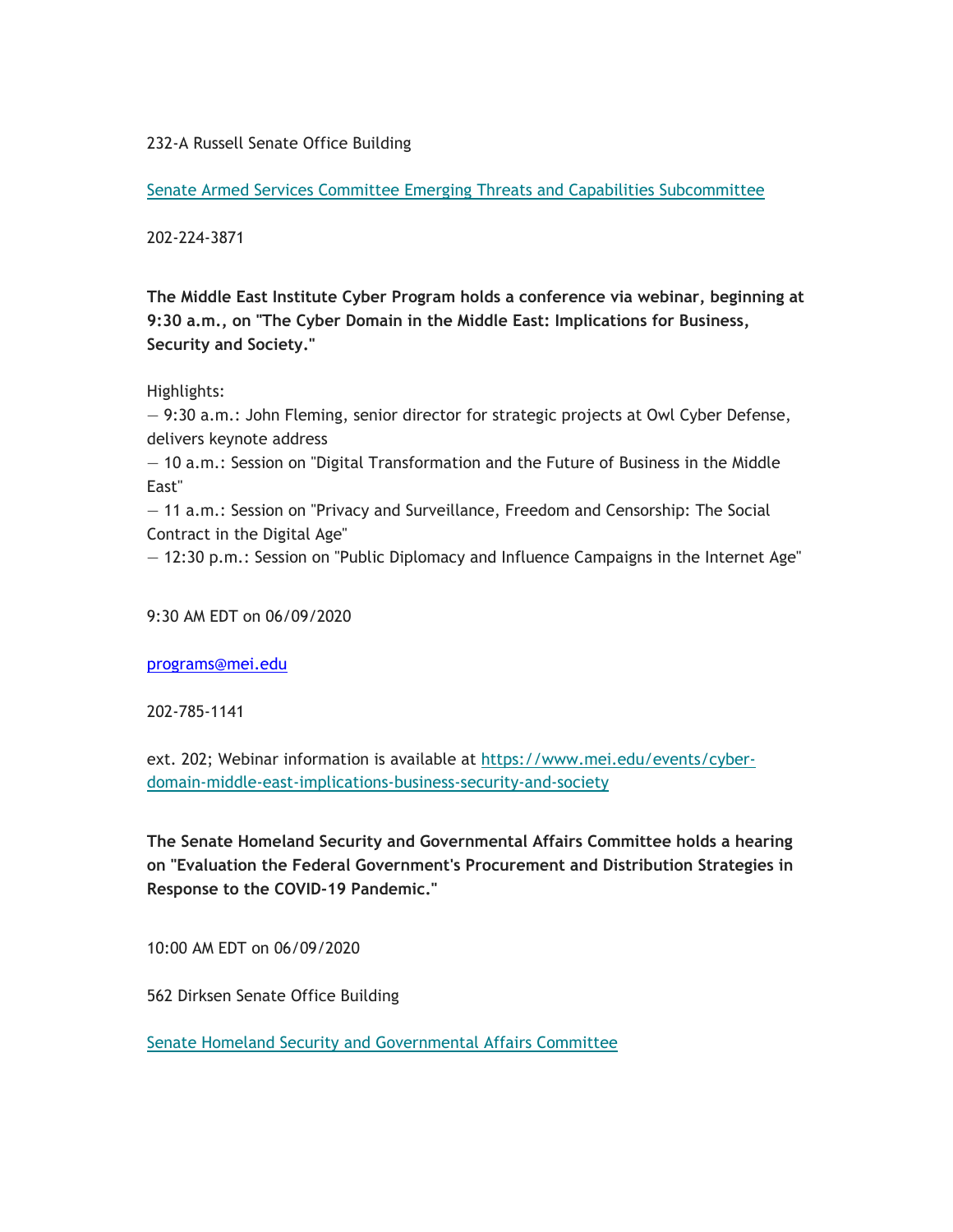232-A Russell Senate Office Building

Senate Armed Services Committee Emerging Threats and Capabilities Subcommittee

202-224-3871

**The Middle East Institute Cyber Program holds a conference via webinar, beginning at 9:30 a.m., on "The Cyber Domain in the Middle East: Implications for Business, Security and Society."**

## Highlights:

— 9:30 a.m.: John Fleming, senior director for strategic projects at Owl Cyber Defense, delivers keynote address

— 10 a.m.: Session on "Digital Transformation and the Future of Business in the Middle East"

— 11 a.m.: Session on "Privacy and Surveillance, Freedom and Censorship: The Social Contract in the Digital Age"

— 12:30 p.m.: Session on "Public Diplomacy and Influence Campaigns in the Internet Age"

9:30 AM EDT on 06/09/2020

programs@mei.edu

202-785-1141

ext. 202; Webinar information is available at https://www.mei.edu/events/cyberdomain-middle-east-implications-business-security-and-society

**The Senate Homeland Security and Governmental Affairs Committee holds a hearing on "Evaluation the Federal Government's Procurement and Distribution Strategies in Response to the COVID-19 Pandemic."**

10:00 AM EDT on 06/09/2020

562 Dirksen Senate Office Building

Senate Homeland Security and Governmental Affairs Committee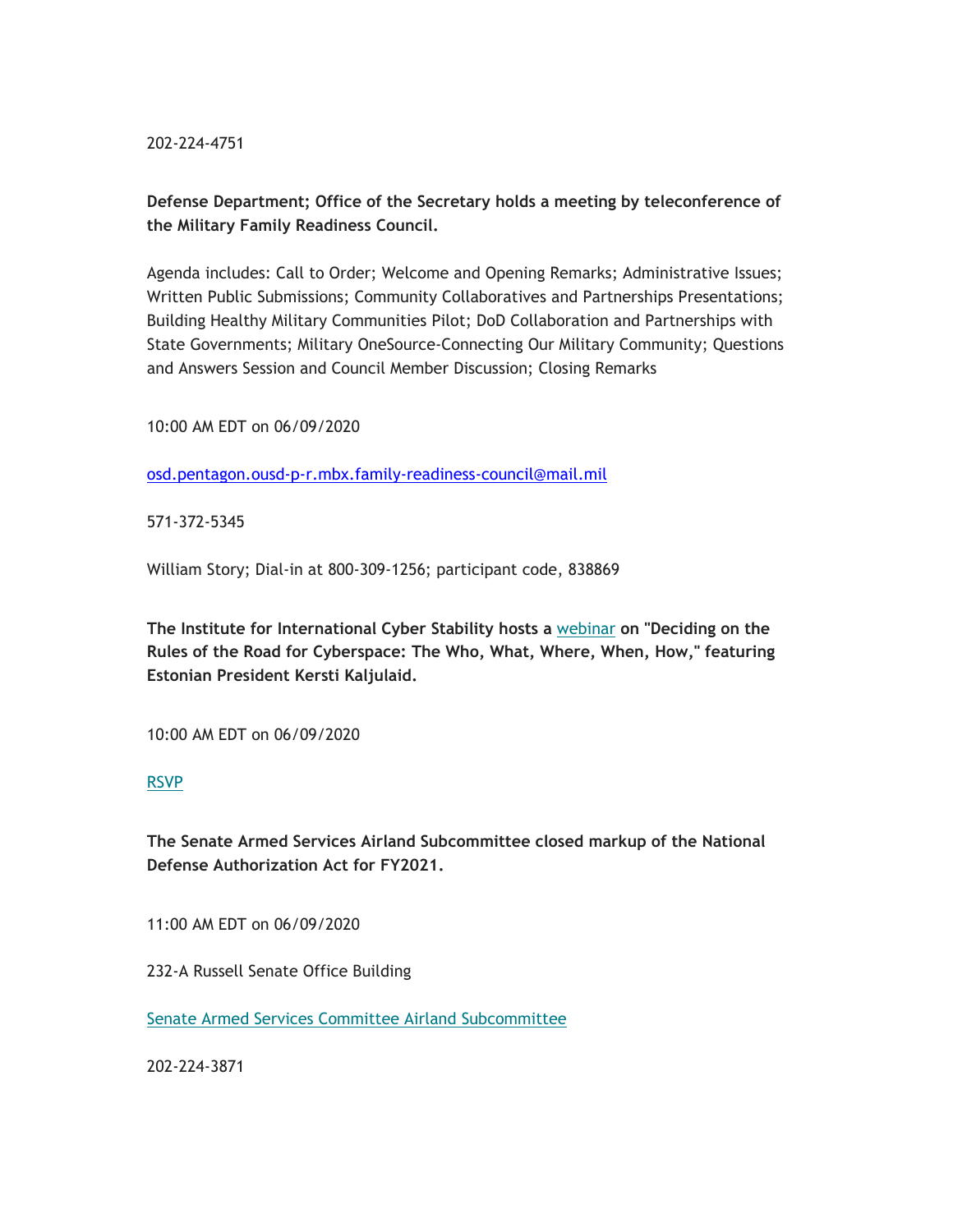202-224-4751

# **Defense Department; Office of the Secretary holds a meeting by teleconference of the Military Family Readiness Council.**

Agenda includes: Call to Order; Welcome and Opening Remarks; Administrative Issues; Written Public Submissions; Community Collaboratives and Partnerships Presentations; Building Healthy Military Communities Pilot; DoD Collaboration and Partnerships with State Governments; Military OneSource-Connecting Our Military Community; Questions and Answers Session and Council Member Discussion; Closing Remarks

10:00 AM EDT on 06/09/2020

osd.pentagon.ousd-p-r.mbx.family-readiness-council@mail.mil

571-372-5345

William Story; Dial-in at 800-309-1256; participant code, 838869

**The Institute for International Cyber Stability hosts a** webinar **on "Deciding on the Rules of the Road for Cyberspace: The Who, What, Where, When, How," featuring Estonian President Kersti Kaljulaid.**

10:00 AM EDT on 06/09/2020

## RSVP

**The Senate Armed Services Airland Subcommittee closed markup of the National Defense Authorization Act for FY2021.**

11:00 AM EDT on 06/09/2020

232-A Russell Senate Office Building

Senate Armed Services Committee Airland Subcommittee

202-224-3871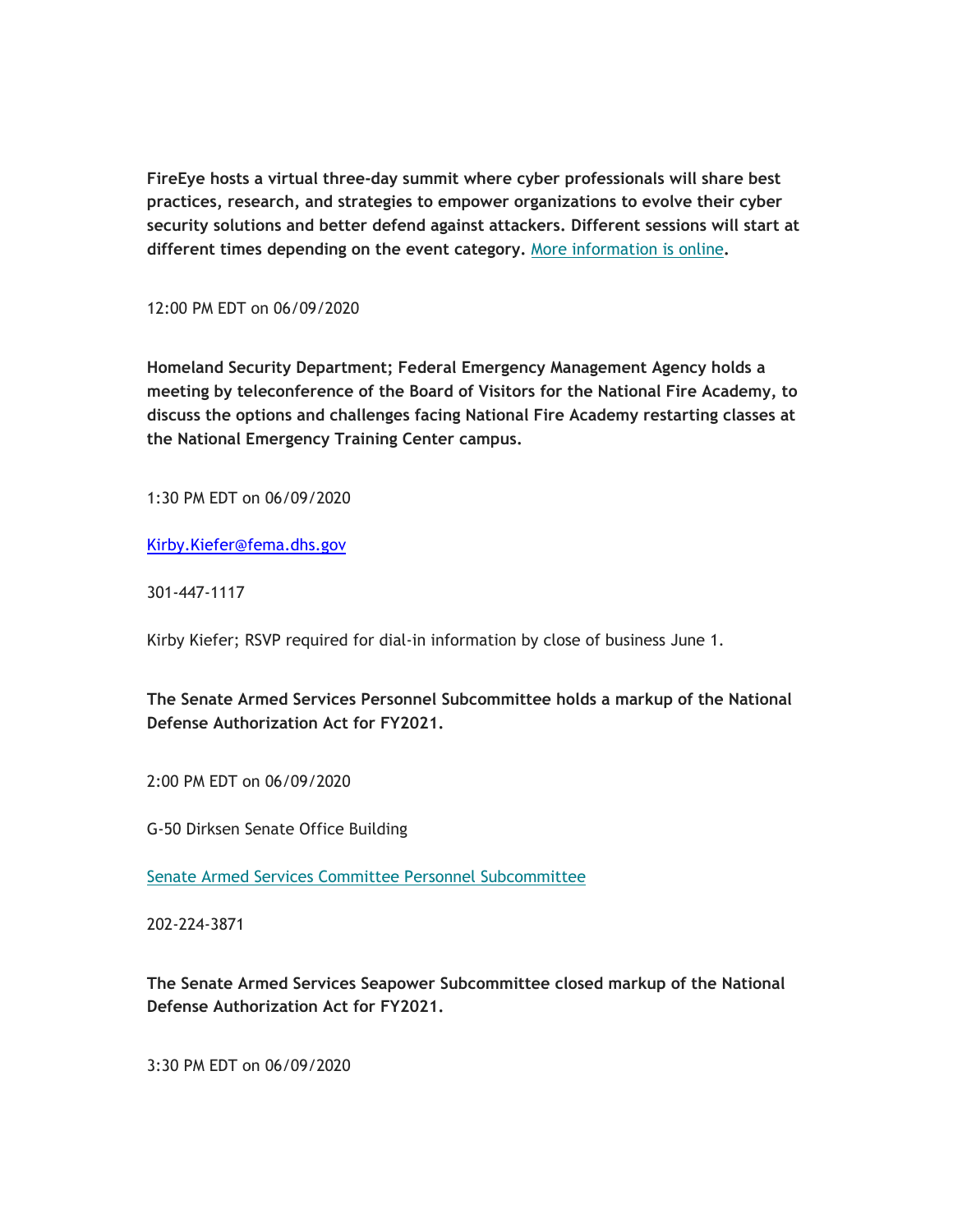**FireEye hosts a virtual three-day summit where cyber professionals will share best practices, research, and strategies to empower organizations to evolve their cyber security solutions and better defend against attackers. Different sessions will start at different times depending on the event category.** More information is online**.**

12:00 PM EDT on 06/09/2020

**Homeland Security Department; Federal Emergency Management Agency holds a meeting by teleconference of the Board of Visitors for the National Fire Academy, to discuss the options and challenges facing National Fire Academy restarting classes at the National Emergency Training Center campus.**

1:30 PM EDT on 06/09/2020

Kirby.Kiefer@fema.dhs.gov

301-447-1117

Kirby Kiefer; RSVP required for dial-in information by close of business June 1.

**The Senate Armed Services Personnel Subcommittee holds a markup of the National Defense Authorization Act for FY2021.**

2:00 PM EDT on 06/09/2020

G-50 Dirksen Senate Office Building

Senate Armed Services Committee Personnel Subcommittee

202-224-3871

**The Senate Armed Services Seapower Subcommittee closed markup of the National Defense Authorization Act for FY2021.**

3:30 PM EDT on 06/09/2020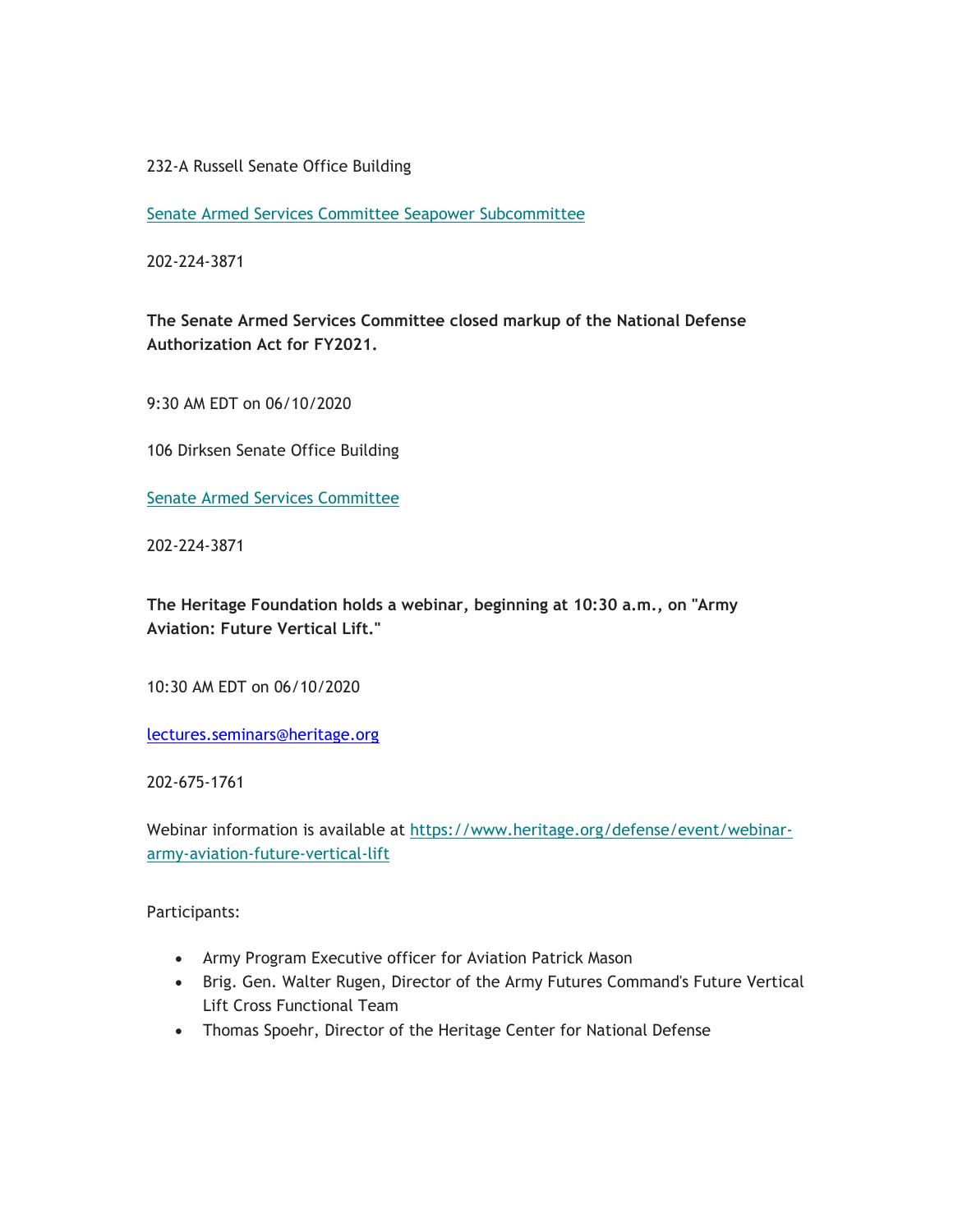## 232-A Russell Senate Office Building

Senate Armed Services Committee Seapower Subcommittee

202-224-3871

**The Senate Armed Services Committee closed markup of the National Defense Authorization Act for FY2021.**

9:30 AM EDT on 06/10/2020

106 Dirksen Senate Office Building

Senate Armed Services Committee

202-224-3871

**The Heritage Foundation holds a webinar, beginning at 10:30 a.m., on "Army Aviation: Future Vertical Lift."**

10:30 AM EDT on 06/10/2020

lectures.seminars@heritage.org

202-675-1761

Webinar information is available at https://www.heritage.org/defense/event/webinararmy-aviation-future-vertical-lift

Participants:

- Army Program Executive officer for Aviation Patrick Mason
- Brig. Gen. Walter Rugen, Director of the Army Futures Command's Future Vertical Lift Cross Functional Team
- Thomas Spoehr, Director of the Heritage Center for National Defense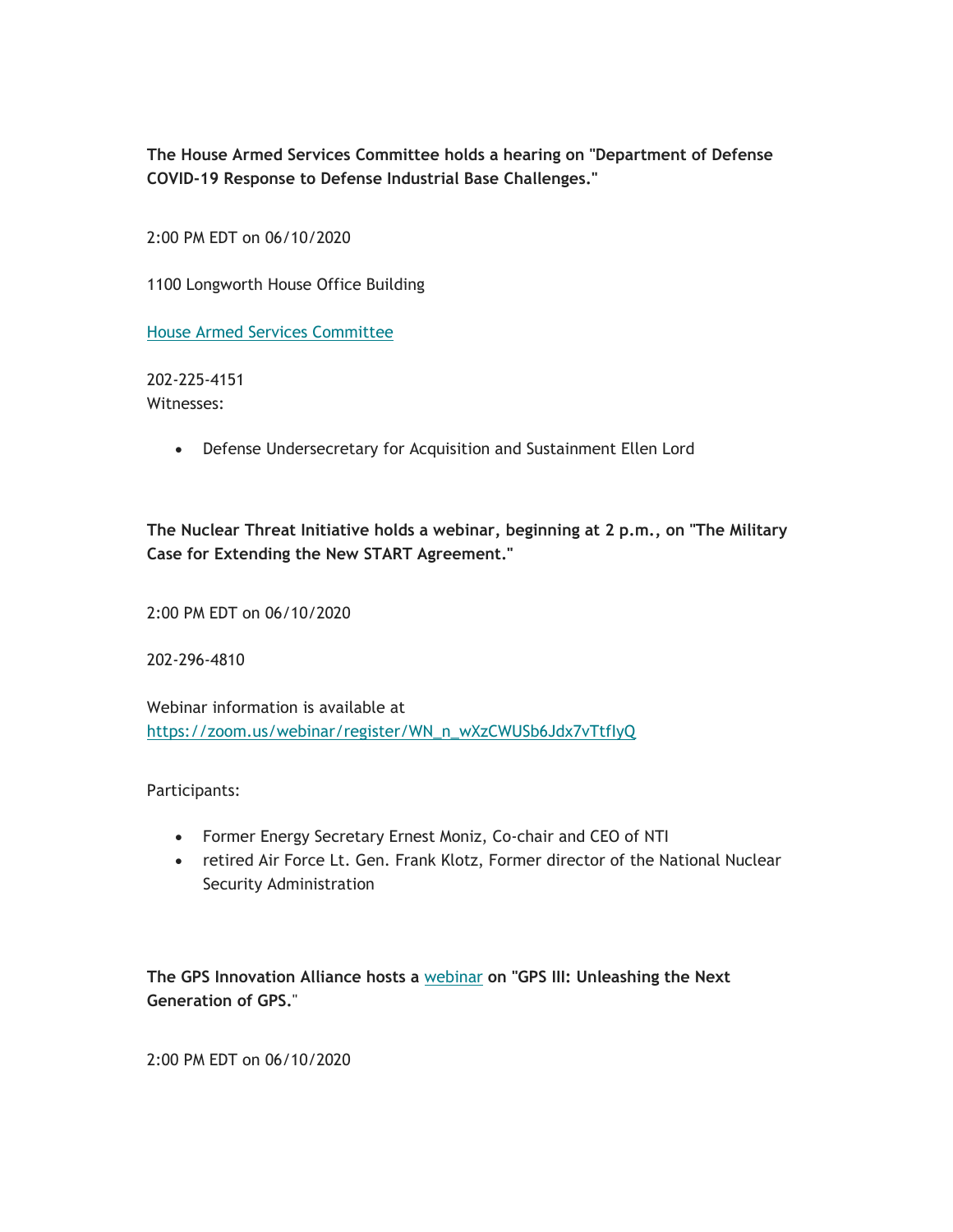**The House Armed Services Committee holds a hearing on "Department of Defense COVID-19 Response to Defense Industrial Base Challenges."**

2:00 PM EDT on 06/10/2020

1100 Longworth House Office Building

House Armed Services Committee

202-225-4151 Witnesses:

Defense Undersecretary for Acquisition and Sustainment Ellen Lord

**The Nuclear Threat Initiative holds a webinar, beginning at 2 p.m., on "The Military Case for Extending the New START Agreement."**

2:00 PM EDT on 06/10/2020

202-296-4810

Webinar information is available at https://zoom.us/webinar/register/WN\_n\_wXzCWUSb6Jdx7vTtfIyQ

Participants:

- Former Energy Secretary Ernest Moniz, Co-chair and CEO of NTI
- retired Air Force Lt. Gen. Frank Klotz, Former director of the National Nuclear Security Administration

**The GPS Innovation Alliance hosts a** webinar **on "GPS III: Unleashing the Next Generation of GPS.**"

2:00 PM EDT on 06/10/2020